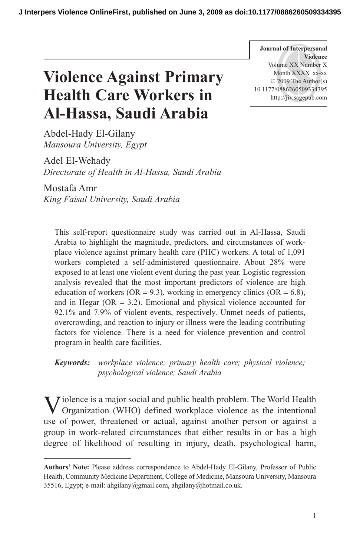# **Violence Against Primary Health Care Workers in Al-Hassa, Saudi Arabia**

Abdel-Hady El-Gilany *Mansoura University, Egypt*

Adel El-Wehady *Directorate of Health in Al-Hassa, Saudi Arabia*

Mostafa Amr *King Faisal University, Saudi Arabia*

**Journal of Interpersonal Violence** Volume XX Number X Month XXXX xx-xx © 2009 The Author(s) 10.1177/0886260509334395 http://jiv.sagepub.com

This self-report questionnaire study was carried out in Al-Hassa, Saudi Arabia to highlight the magnitude, predictors, and circumstances of workplace violence against primary health care (PHC) workers. A total of 1,091 workers completed a self-administered questionnaire. About 28% were exposed to at least one violent event during the past year. Logistic regression analysis revealed that the most important predictors of violence are high education of workers ( $OR = 9.3$ ), working in emergency clinics ( $OR = 6.8$ ), and in Hegar ( $OR = 3.2$ ). Emotional and physical violence accounted for 92.1% and 7.9% of violent events, respectively. Unmet needs of patients, overcrowding, and reaction to injury or illness were the leading contributing factors for violence. There is a need for violence prevention and control program in health care facilities.

*Keywords: workplace violence; primary health care; physical violence; psychological violence; Saudi Arabia*

**Tiolence is a major social and public health problem. The World Health** Organization (WHO) defined workplace violence as the intentional use of power, threatened or actual, against another person or against a group in work-related circumstances that either results in or has a high degree of likelihood of resulting in injury, death, psychological harm,

**Authors' Note:** Please address correspondence to Abdel-Hady El-Gilany, Professor of Public Health, Community Medicine Department, College of Medicine, Mansoura University, Mansoura 35516, Egypt; e-mail: ahgilany@gmail.com, ahgilany@hotmail.co.uk.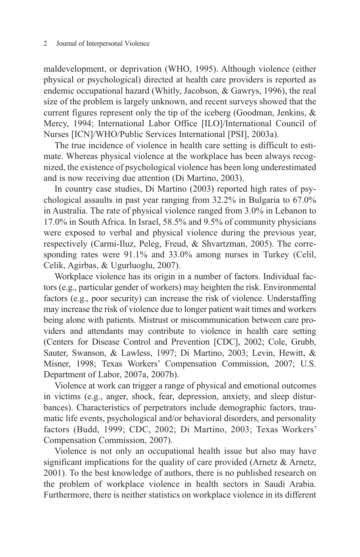maldevelopment, or deprivation (WHO, 1995). Although violence (either physical or psychological) directed at health care providers is reported as endemic occupational hazard (Whitly, Jacobson, & Gawrys, 1996), the real size of the problem is largely unknown, and recent surveys showed that the current figures represent only the tip of the iceberg (Goodman, Jenkins, & Mercy, 1994; International Labor Office [ILO]/International Council of Nurses [ICN]/WHO/Public Services International [PSI], 2003a).

The true incidence of violence in health care setting is difficult to estimate. Whereas physical violence at the workplace has been always recognized, the existence of psychological violence has been long underestimated and is now receiving due attention (Di Martino, 2003).

In country case studies, Di Martino (2003) reported high rates of psychological assaults in past year ranging from 32.2% in Bulgaria to 67.0% in Australia. The rate of physical violence ranged from 3.0% in Lebanon to 17.0% in South Africa. In Israel, 58.5% and 9.5% of community physicians were exposed to verbal and physical violence during the previous year, respectively (Carmi-Iluz, Peleg, Freud, & Shvartzman, 2005). The corresponding rates were 91.1% and 33.0% among nurses in Turkey (Celil, Celik, Agirbas, & Ugurluoglu, 2007).

Workplace violence has its origin in a number of factors. Individual factors (e.g., particular gender of workers) may heighten the risk. Environmental factors (e.g., poor security) can increase the risk of violence. Understaffing may increase the risk of violence due to longer patient wait times and workers being alone with patients. Mistrust or miscommunication between care providers and attendants may contribute to violence in health care setting (Centers for Disease Control and Prevention [CDC], 2002; Cole, Grubb, Sauter, Swanson, & Lawless, 1997; Di Martino, 2003; Levin, Hewitt, & Misner, 1998; Texas Workers' Compensation Commission, 2007; U.S. Department of Labor, 2007a, 2007b).

Violence at work can trigger a range of physical and emotional outcomes in victims (e.g., anger, shock, fear, depression, anxiety, and sleep disturbances). Characteristics of perpetrators include demographic factors, traumatic life events, psychological and/or behavioral disorders, and personality factors (Budd, 1999; CDC, 2002; Di Martino, 2003; Texas Workers' Compensation Commission, 2007).

Violence is not only an occupational health issue but also may have significant implications for the quality of care provided (Arnetz & Arnetz, 2001). To the best knowledge of authors, there is no published research on the problem of workplace violence in health sectors in Saudi Arabia. Furthermore, there is neither statistics on workplace violence in its different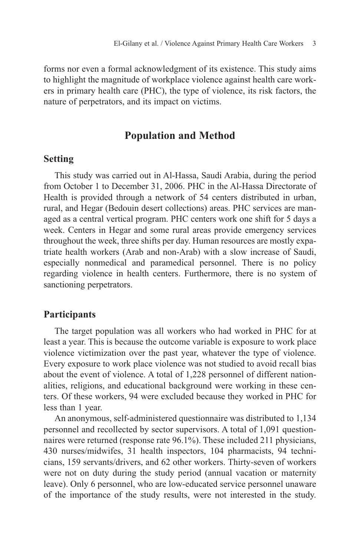forms nor even a formal acknowledgment of its existence. This study aims to highlight the magnitude of workplace violence against health care workers in primary health care (PHC), the type of violence, its risk factors, the nature of perpetrators, and its impact on victims.

### **Population and Method**

#### **Setting**

This study was carried out in Al-Hassa, Saudi Arabia, during the period from October 1 to December 31, 2006. PHC in the Al-Hassa Directorate of Health is provided through a network of 54 centers distributed in urban, rural, and Hegar (Bedouin desert collections) areas. PHC services are managed as a central vertical program. PHC centers work one shift for 5 days a week. Centers in Hegar and some rural areas provide emergency services throughout the week, three shifts per day. Human resources are mostly expatriate health workers (Arab and non-Arab) with a slow increase of Saudi, especially nonmedical and paramedical personnel. There is no policy regarding violence in health centers. Furthermore, there is no system of sanctioning perpetrators.

#### **Participants**

The target population was all workers who had worked in PHC for at least a year. This is because the outcome variable is exposure to work place violence victimization over the past year, whatever the type of violence. Every exposure to work place violence was not studied to avoid recall bias about the event of violence. A total of 1,228 personnel of different nationalities, religions, and educational background were working in these centers. Of these workers, 94 were excluded because they worked in PHC for less than 1 year.

An anonymous, self-administered questionnaire was distributed to 1,134 personnel and recollected by sector supervisors. A total of 1,091 questionnaires were returned (response rate 96.1%). These included 211 physicians, 430 nurses/midwifes, 31 health inspectors, 104 pharmacists, 94 technicians, 159 servants/drivers, and 62 other workers. Thirty-seven of workers were not on duty during the study period (annual vacation or maternity leave). Only 6 personnel, who are low-educated service personnel unaware of the importance of the study results, were not interested in the study.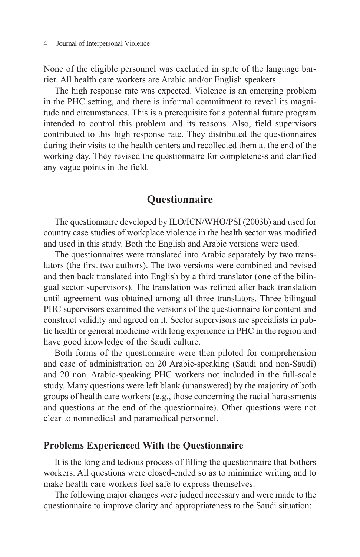None of the eligible personnel was excluded in spite of the language barrier. All health care workers are Arabic and/or English speakers.

The high response rate was expected. Violence is an emerging problem in the PHC setting, and there is informal commitment to reveal its magnitude and circumstances. This is a prerequisite for a potential future program intended to control this problem and its reasons. Also, field supervisors contributed to this high response rate. They distributed the questionnaires during their visits to the health centers and recollected them at the end of the working day. They revised the questionnaire for completeness and clarified any vague points in the field.

# **Questionnaire**

The questionnaire developed by ILO/ICN/WHO/PSI (2003b) and used for country case studies of workplace violence in the health sector was modified and used in this study. Both the English and Arabic versions were used.

The questionnaires were translated into Arabic separately by two translators (the first two authors). The two versions were combined and revised and then back translated into English by a third translator (one of the bilingual sector supervisors). The translation was refined after back translation until agreement was obtained among all three translators. Three bilingual PHC supervisors examined the versions of the questionnaire for content and construct validity and agreed on it. Sector supervisors are specialists in public health or general medicine with long experience in PHC in the region and have good knowledge of the Saudi culture.

Both forms of the questionnaire were then piloted for comprehension and ease of administration on 20 Arabic-speaking (Saudi and non-Saudi) and 20 non–Arabic-speaking PHC workers not included in the full-scale study. Many questions were left blank (unanswered) by the majority of both groups of health care workers (e.g., those concerning the racial harassments and questions at the end of the questionnaire). Other questions were not clear to nonmedical and paramedical personnel.

#### **Problems Experienced With the Questionnaire**

It is the long and tedious process of filling the questionnaire that bothers workers. All questions were closed-ended so as to minimize writing and to make health care workers feel safe to express themselves.

The following major changes were judged necessary and were made to the questionnaire to improve clarity and appropriateness to the Saudi situation: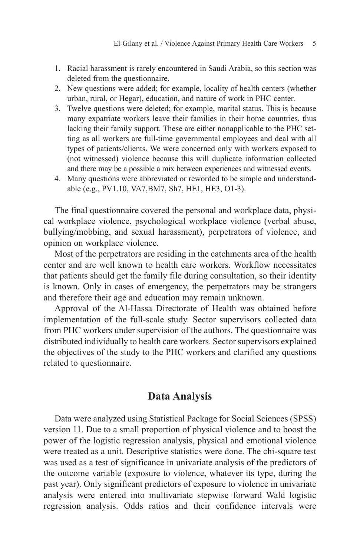- 1. Racial harassment is rarely encountered in Saudi Arabia, so this section was deleted from the questionnaire.
- 2. New questions were added; for example, locality of health centers (whether urban, rural, or Hegar), education, and nature of work in PHC center.
- 3. Twelve questions were deleted; for example, marital status. This is because many expatriate workers leave their families in their home countries, thus lacking their family support. These are either nonapplicable to the PHC setting as all workers are full-time governmental employees and deal with all types of patients/clients. We were concerned only with workers exposed to (not witnessed) violence because this will duplicate information collected and there may be a possible a mix between experiences and witnessed events.
- 4. Many questions were abbreviated or reworded to be simple and understandable (e.g., PV1.10, VA7,BM7, Sh7, HE1, HE3, O1-3).

The final questionnaire covered the personal and workplace data, physical workplace violence, psychological workplace violence (verbal abuse, bullying/mobbing, and sexual harassment), perpetrators of violence, and opinion on workplace violence.

Most of the perpetrators are residing in the catchments area of the health center and are well known to health care workers. Workflow necessitates that patients should get the family file during consultation, so their identity is known. Only in cases of emergency, the perpetrators may be strangers and therefore their age and education may remain unknown.

Approval of the Al-Hassa Directorate of Health was obtained before implementation of the full-scale study. Sector supervisors collected data from PHC workers under supervision of the authors. The questionnaire was distributed individually to health care workers. Sector supervisors explained the objectives of the study to the PHC workers and clarified any questions related to questionnaire.

# **Data Analysis**

Data were analyzed using Statistical Package for Social Sciences (SPSS) version 11. Due to a small proportion of physical violence and to boost the power of the logistic regression analysis, physical and emotional violence were treated as a unit. Descriptive statistics were done. The chi-square test was used as a test of significance in univariate analysis of the predictors of the outcome variable (exposure to violence, whatever its type, during the past year). Only significant predictors of exposure to violence in univariate analysis were entered into multivariate stepwise forward Wald logistic regression analysis. Odds ratios and their confidence intervals were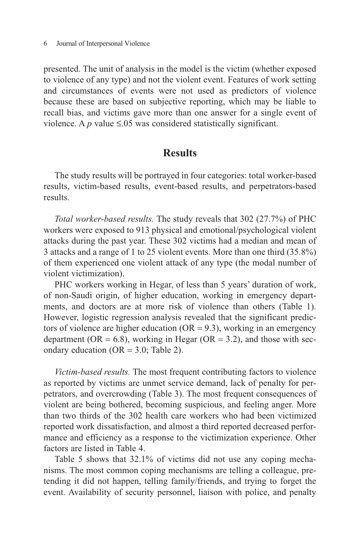presented. The unit of analysis in the model is the victim (whether exposed to violence of any type) and not the violent event. Features of work setting and circumstances of events were not used as predictors of violence because these are based on subjective reporting, which may be liable to recall bias, and victims gave more than one answer for a single event of violence. A  $p$  value  $\leq 0.05$  was considered statistically significant.

## **Results**

The study results will be portrayed in four categories: total worker-based results, victim-based results, event-based results, and perpetrators-based results.

*Total worker-based results.* The study reveals that 302 (27.7%) of PHC workers were exposed to 913 physical and emotional/psychological violent attacks during the past year. These 302 victims had a median and mean of 3 attacks and a range of 1 to 25 violent events. More than one third (35.8%) of them experienced one violent attack of any type (the modal number of violent victimization).

PHC workers working in Hegar, of less than 5 years' duration of work, of non-Saudi origin, of higher education, working in emergency departments, and doctors are at more risk of violence than others (Table 1). However, logistic regression analysis revealed that the significant predictors of violence are higher education  $(OR = 9.3)$ , working in an emergency department (OR =  $6.8$ ), working in Hegar (OR =  $3.2$ ), and those with secondary education ( $OR = 3.0$ ; Table 2).

*Victim-based results.* The most frequent contributing factors to violence as reported by victims are unmet service demand, lack of penalty for perpetrators, and overcrowding (Table 3). The most frequent consequences of violent are being bothered, becoming suspicious, and feeling anger. More than two thirds of the 302 health care workers who had been victimized reported work dissatisfaction, and almost a third reported decreased performance and efficiency as a response to the victimization experience. Other factors are listed in Table 4.

Table 5 shows that 32.1% of victims did not use any coping mechanisms. The most common coping mechanisms are telling a colleague, pretending it did not happen, telling family/friends, and trying to forget the event. Availability of security personnel, liaison with police, and penalty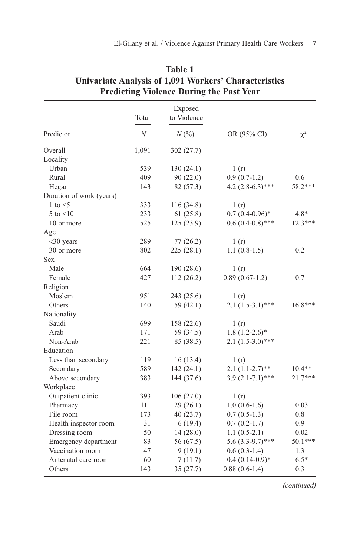| $\chi^2$<br>Predictor<br>N<br>N(%<br>OR (95% CI)<br>1,091<br>Overall<br>302 (27.7)<br>Locality<br>Urban<br>539<br>130(24.1)<br>1(r)<br>Rural<br>409<br>90(22.0)<br>$0.9(0.7-1.2)$<br>0.6<br>58.2***<br>4.2 $(2.8-6.3)$ ***<br>Hegar<br>143<br>82 (57.3)<br>Duration of work (years)<br>1 to $<$ 5<br>333<br>116 (34.8)<br>1(r)<br>$0.7(0.4-0.96)$ *<br>$4.8*$<br>$5$ to $\leq 10$<br>233<br>61(25.8)<br>$0.6(0.4-0.8)$ ***<br>$12.3***$<br>525<br>125(23.9)<br>10 or more<br>Age<br>$<$ 30 years<br>289<br>77(26.2)<br>1(r)<br>0.2<br>30 or more<br>802<br>225(28.1)<br>$1.1(0.8-1.5)$<br>Sex<br>Male<br>664<br>190(28.6)<br>1(r)<br>427<br>112(26.2)<br>$0.89(0.67-1.2)$<br>Female<br>0.7<br>Religion<br>951<br>Moslem<br>243 (25.6)<br>1(r)<br>$16.8***$<br>140<br>$2.1(1.5-3.1)$ ***<br>Others<br>59 $(42.1)$<br>Saudi<br>699<br>158 (22.6)<br>1(r)<br>Arab<br>171<br>59 (34.5)<br>$1.8(1.2-2.6)$ *<br>Non-Arab<br>221<br>$2.1 (1.5-3.0)$ ***<br>85 (38.5)<br>Education<br>Less than secondary<br>119<br>16(13.4)<br>1(r)<br>589<br>142(24.1)<br>$2.1(1.1-2.7)$ **<br>$10.4**$<br>Secondary<br>$21.7***$<br>$3.9(2.1-7.1)$ ***<br>Above secondary<br>383<br>144 (37.6)<br>Workplace<br>Outpatient clinic<br>393<br>106(27.0)<br>1(r)<br>Pharmacy<br>111<br>29(26.1)<br>$1.0(0.6-1.6)$<br>0.03<br>File room<br>173<br>40(23.7)<br>$0.7(0.5-1.3)$<br>0.8<br>31<br>6(19.4)<br>$0.7(0.2-1.7)$<br>0.9<br>Health inspector room<br>50<br>$1.1(0.5-2.1)$<br>0.02<br>Dressing room<br>14(28.0)<br>50.1***<br>Emergency department<br>$5.6(3.3-9.7)$ ***<br>83<br>56 (67.5)<br>Vaccination room<br>47<br>9(19.1)<br>$0.6(0.3-1.4)$<br>1.3<br>Antenatal care room<br>60<br>7(11.7)<br>$0.4(0.14-0.9)*$<br>$6.5*$<br>Others<br>143<br>35(27.7)<br>$0.88(0.6-1.4)$<br>0.3 |             | Total | Exposed<br>to Violence |  |
|------------------------------------------------------------------------------------------------------------------------------------------------------------------------------------------------------------------------------------------------------------------------------------------------------------------------------------------------------------------------------------------------------------------------------------------------------------------------------------------------------------------------------------------------------------------------------------------------------------------------------------------------------------------------------------------------------------------------------------------------------------------------------------------------------------------------------------------------------------------------------------------------------------------------------------------------------------------------------------------------------------------------------------------------------------------------------------------------------------------------------------------------------------------------------------------------------------------------------------------------------------------------------------------------------------------------------------------------------------------------------------------------------------------------------------------------------------------------------------------------------------------------------------------------------------------------------------------------------------------------------------------------------------------------------------------------------------------------------------------------------------------|-------------|-------|------------------------|--|
|                                                                                                                                                                                                                                                                                                                                                                                                                                                                                                                                                                                                                                                                                                                                                                                                                                                                                                                                                                                                                                                                                                                                                                                                                                                                                                                                                                                                                                                                                                                                                                                                                                                                                                                                                                  |             |       |                        |  |
|                                                                                                                                                                                                                                                                                                                                                                                                                                                                                                                                                                                                                                                                                                                                                                                                                                                                                                                                                                                                                                                                                                                                                                                                                                                                                                                                                                                                                                                                                                                                                                                                                                                                                                                                                                  |             |       |                        |  |
|                                                                                                                                                                                                                                                                                                                                                                                                                                                                                                                                                                                                                                                                                                                                                                                                                                                                                                                                                                                                                                                                                                                                                                                                                                                                                                                                                                                                                                                                                                                                                                                                                                                                                                                                                                  |             |       |                        |  |
|                                                                                                                                                                                                                                                                                                                                                                                                                                                                                                                                                                                                                                                                                                                                                                                                                                                                                                                                                                                                                                                                                                                                                                                                                                                                                                                                                                                                                                                                                                                                                                                                                                                                                                                                                                  |             |       |                        |  |
|                                                                                                                                                                                                                                                                                                                                                                                                                                                                                                                                                                                                                                                                                                                                                                                                                                                                                                                                                                                                                                                                                                                                                                                                                                                                                                                                                                                                                                                                                                                                                                                                                                                                                                                                                                  |             |       |                        |  |
|                                                                                                                                                                                                                                                                                                                                                                                                                                                                                                                                                                                                                                                                                                                                                                                                                                                                                                                                                                                                                                                                                                                                                                                                                                                                                                                                                                                                                                                                                                                                                                                                                                                                                                                                                                  |             |       |                        |  |
|                                                                                                                                                                                                                                                                                                                                                                                                                                                                                                                                                                                                                                                                                                                                                                                                                                                                                                                                                                                                                                                                                                                                                                                                                                                                                                                                                                                                                                                                                                                                                                                                                                                                                                                                                                  |             |       |                        |  |
|                                                                                                                                                                                                                                                                                                                                                                                                                                                                                                                                                                                                                                                                                                                                                                                                                                                                                                                                                                                                                                                                                                                                                                                                                                                                                                                                                                                                                                                                                                                                                                                                                                                                                                                                                                  |             |       |                        |  |
|                                                                                                                                                                                                                                                                                                                                                                                                                                                                                                                                                                                                                                                                                                                                                                                                                                                                                                                                                                                                                                                                                                                                                                                                                                                                                                                                                                                                                                                                                                                                                                                                                                                                                                                                                                  |             |       |                        |  |
|                                                                                                                                                                                                                                                                                                                                                                                                                                                                                                                                                                                                                                                                                                                                                                                                                                                                                                                                                                                                                                                                                                                                                                                                                                                                                                                                                                                                                                                                                                                                                                                                                                                                                                                                                                  |             |       |                        |  |
|                                                                                                                                                                                                                                                                                                                                                                                                                                                                                                                                                                                                                                                                                                                                                                                                                                                                                                                                                                                                                                                                                                                                                                                                                                                                                                                                                                                                                                                                                                                                                                                                                                                                                                                                                                  |             |       |                        |  |
|                                                                                                                                                                                                                                                                                                                                                                                                                                                                                                                                                                                                                                                                                                                                                                                                                                                                                                                                                                                                                                                                                                                                                                                                                                                                                                                                                                                                                                                                                                                                                                                                                                                                                                                                                                  |             |       |                        |  |
|                                                                                                                                                                                                                                                                                                                                                                                                                                                                                                                                                                                                                                                                                                                                                                                                                                                                                                                                                                                                                                                                                                                                                                                                                                                                                                                                                                                                                                                                                                                                                                                                                                                                                                                                                                  |             |       |                        |  |
|                                                                                                                                                                                                                                                                                                                                                                                                                                                                                                                                                                                                                                                                                                                                                                                                                                                                                                                                                                                                                                                                                                                                                                                                                                                                                                                                                                                                                                                                                                                                                                                                                                                                                                                                                                  |             |       |                        |  |
|                                                                                                                                                                                                                                                                                                                                                                                                                                                                                                                                                                                                                                                                                                                                                                                                                                                                                                                                                                                                                                                                                                                                                                                                                                                                                                                                                                                                                                                                                                                                                                                                                                                                                                                                                                  |             |       |                        |  |
|                                                                                                                                                                                                                                                                                                                                                                                                                                                                                                                                                                                                                                                                                                                                                                                                                                                                                                                                                                                                                                                                                                                                                                                                                                                                                                                                                                                                                                                                                                                                                                                                                                                                                                                                                                  |             |       |                        |  |
|                                                                                                                                                                                                                                                                                                                                                                                                                                                                                                                                                                                                                                                                                                                                                                                                                                                                                                                                                                                                                                                                                                                                                                                                                                                                                                                                                                                                                                                                                                                                                                                                                                                                                                                                                                  |             |       |                        |  |
|                                                                                                                                                                                                                                                                                                                                                                                                                                                                                                                                                                                                                                                                                                                                                                                                                                                                                                                                                                                                                                                                                                                                                                                                                                                                                                                                                                                                                                                                                                                                                                                                                                                                                                                                                                  |             |       |                        |  |
|                                                                                                                                                                                                                                                                                                                                                                                                                                                                                                                                                                                                                                                                                                                                                                                                                                                                                                                                                                                                                                                                                                                                                                                                                                                                                                                                                                                                                                                                                                                                                                                                                                                                                                                                                                  |             |       |                        |  |
|                                                                                                                                                                                                                                                                                                                                                                                                                                                                                                                                                                                                                                                                                                                                                                                                                                                                                                                                                                                                                                                                                                                                                                                                                                                                                                                                                                                                                                                                                                                                                                                                                                                                                                                                                                  | Nationality |       |                        |  |
|                                                                                                                                                                                                                                                                                                                                                                                                                                                                                                                                                                                                                                                                                                                                                                                                                                                                                                                                                                                                                                                                                                                                                                                                                                                                                                                                                                                                                                                                                                                                                                                                                                                                                                                                                                  |             |       |                        |  |
|                                                                                                                                                                                                                                                                                                                                                                                                                                                                                                                                                                                                                                                                                                                                                                                                                                                                                                                                                                                                                                                                                                                                                                                                                                                                                                                                                                                                                                                                                                                                                                                                                                                                                                                                                                  |             |       |                        |  |
|                                                                                                                                                                                                                                                                                                                                                                                                                                                                                                                                                                                                                                                                                                                                                                                                                                                                                                                                                                                                                                                                                                                                                                                                                                                                                                                                                                                                                                                                                                                                                                                                                                                                                                                                                                  |             |       |                        |  |
|                                                                                                                                                                                                                                                                                                                                                                                                                                                                                                                                                                                                                                                                                                                                                                                                                                                                                                                                                                                                                                                                                                                                                                                                                                                                                                                                                                                                                                                                                                                                                                                                                                                                                                                                                                  |             |       |                        |  |
|                                                                                                                                                                                                                                                                                                                                                                                                                                                                                                                                                                                                                                                                                                                                                                                                                                                                                                                                                                                                                                                                                                                                                                                                                                                                                                                                                                                                                                                                                                                                                                                                                                                                                                                                                                  |             |       |                        |  |
|                                                                                                                                                                                                                                                                                                                                                                                                                                                                                                                                                                                                                                                                                                                                                                                                                                                                                                                                                                                                                                                                                                                                                                                                                                                                                                                                                                                                                                                                                                                                                                                                                                                                                                                                                                  |             |       |                        |  |
|                                                                                                                                                                                                                                                                                                                                                                                                                                                                                                                                                                                                                                                                                                                                                                                                                                                                                                                                                                                                                                                                                                                                                                                                                                                                                                                                                                                                                                                                                                                                                                                                                                                                                                                                                                  |             |       |                        |  |
|                                                                                                                                                                                                                                                                                                                                                                                                                                                                                                                                                                                                                                                                                                                                                                                                                                                                                                                                                                                                                                                                                                                                                                                                                                                                                                                                                                                                                                                                                                                                                                                                                                                                                                                                                                  |             |       |                        |  |
|                                                                                                                                                                                                                                                                                                                                                                                                                                                                                                                                                                                                                                                                                                                                                                                                                                                                                                                                                                                                                                                                                                                                                                                                                                                                                                                                                                                                                                                                                                                                                                                                                                                                                                                                                                  |             |       |                        |  |
|                                                                                                                                                                                                                                                                                                                                                                                                                                                                                                                                                                                                                                                                                                                                                                                                                                                                                                                                                                                                                                                                                                                                                                                                                                                                                                                                                                                                                                                                                                                                                                                                                                                                                                                                                                  |             |       |                        |  |
|                                                                                                                                                                                                                                                                                                                                                                                                                                                                                                                                                                                                                                                                                                                                                                                                                                                                                                                                                                                                                                                                                                                                                                                                                                                                                                                                                                                                                                                                                                                                                                                                                                                                                                                                                                  |             |       |                        |  |
|                                                                                                                                                                                                                                                                                                                                                                                                                                                                                                                                                                                                                                                                                                                                                                                                                                                                                                                                                                                                                                                                                                                                                                                                                                                                                                                                                                                                                                                                                                                                                                                                                                                                                                                                                                  |             |       |                        |  |
|                                                                                                                                                                                                                                                                                                                                                                                                                                                                                                                                                                                                                                                                                                                                                                                                                                                                                                                                                                                                                                                                                                                                                                                                                                                                                                                                                                                                                                                                                                                                                                                                                                                                                                                                                                  |             |       |                        |  |
|                                                                                                                                                                                                                                                                                                                                                                                                                                                                                                                                                                                                                                                                                                                                                                                                                                                                                                                                                                                                                                                                                                                                                                                                                                                                                                                                                                                                                                                                                                                                                                                                                                                                                                                                                                  |             |       |                        |  |
|                                                                                                                                                                                                                                                                                                                                                                                                                                                                                                                                                                                                                                                                                                                                                                                                                                                                                                                                                                                                                                                                                                                                                                                                                                                                                                                                                                                                                                                                                                                                                                                                                                                                                                                                                                  |             |       |                        |  |
|                                                                                                                                                                                                                                                                                                                                                                                                                                                                                                                                                                                                                                                                                                                                                                                                                                                                                                                                                                                                                                                                                                                                                                                                                                                                                                                                                                                                                                                                                                                                                                                                                                                                                                                                                                  |             |       |                        |  |
|                                                                                                                                                                                                                                                                                                                                                                                                                                                                                                                                                                                                                                                                                                                                                                                                                                                                                                                                                                                                                                                                                                                                                                                                                                                                                                                                                                                                                                                                                                                                                                                                                                                                                                                                                                  |             |       |                        |  |

# **Table 1 Univariate Analysis of 1,091 Workers' Characteristics Predicting Violence During the Past Year**

*(continued)*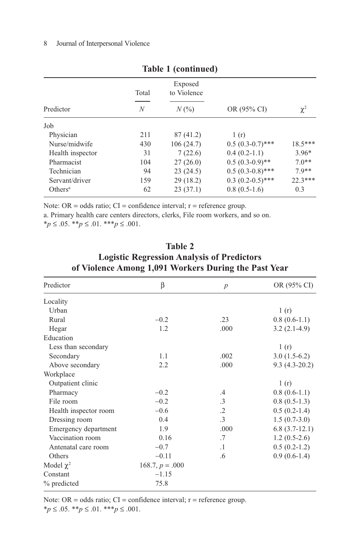#### 8 Journal of Interpersonal Violence

|                     | Total | Exposed<br>to Violence |                    |           |
|---------------------|-------|------------------------|--------------------|-----------|
| Predictor           | N     | N(%                    | OR (95% CI)        | $\chi^2$  |
| Job                 |       |                        |                    |           |
| Physician           | 211   | 87(41.2)               | 1(r)               |           |
| Nurse/midwife       | 430   | 106(24.7)              | $0.5(0.3-0.7)$ *** | $18.5***$ |
| Health inspector    | 31    | 7(22.6)                | $0.4(0.2-1.1)$     | $3.96*$   |
| Pharmacist          | 104   | 27(26.0)               | $0.5(0.3-0.9)$ **  | $7.0**$   |
| Technician          | 94    | 23(24.5)               | $0.5(0.3-0.8)$ *** | $7.9**$   |
| Servant/driver      | 159   | 29(18.2)               | $0.3(0.2-0.5)$ *** | $22.3***$ |
| Others <sup>a</sup> | 62    | 23(37.1)               | $0.8(0.5-1.6)$     | 0.3       |

| Table 1 (continued) |  |  |
|---------------------|--|--|
|---------------------|--|--|

Note:  $OR = odds ratio$ ;  $CI = confidence interval$ ;  $r = reference group$ .

a. Primary health care centers directors, clerks, File room workers, and so on.

\**p* ≤ .05. \*\**p* ≤ .01. \*\*\**p* ≤ .001.

| β                 | $\boldsymbol{p}$ | OR (95% CI)     |
|-------------------|------------------|-----------------|
|                   |                  |                 |
|                   |                  | 1(r)            |
| $-0.2$            | .23              | $0.8(0.6-1.1)$  |
| 1.2               | .000             | $3.2(2.1-4.9)$  |
|                   |                  |                 |
|                   |                  | 1(r)            |
| 1.1               | .002             | $3.0(1.5-6.2)$  |
| 2.2               | .000             | $9.3(4.3-20.2)$ |
|                   |                  |                 |
|                   |                  | 1(r)            |
| $-0.2$            | .4               | $0.8(0.6-1.1)$  |
| $-0.2$            | $\cdot$ 3        | $0.8(0.5-1.3)$  |
| $-0.6$            | $\cdot$ .2       | $0.5(0.2-1.4)$  |
| 0.4               | $\cdot$ 3        | $1.5(0.7-3.0)$  |
| 1.9               | .000             | $6.8(3.7-12.1)$ |
| 0.16              | .7               | $1.2(0.5-2.6)$  |
| $-0.7$            | $\cdot$ 1        | $0.5(0.2-1.2)$  |
| $-0.11$           | .6               | $0.9(0.6-1.4)$  |
| $168.7, p = .000$ |                  |                 |
| $-1.15$           |                  |                 |
| 75.8              |                  |                 |
|                   |                  |                 |

**Table 2 Logistic Regression Analysis of Predictors of Violence Among 1,091 Workers During the Past Year**

Note:  $OR = odds ratio$ ;  $CI = confidence interval$ ;  $r = reference group$ .

<sup>\*</sup>*p* ≤ .05. \*\**p* ≤ .01. \*\*\**p* ≤ .001.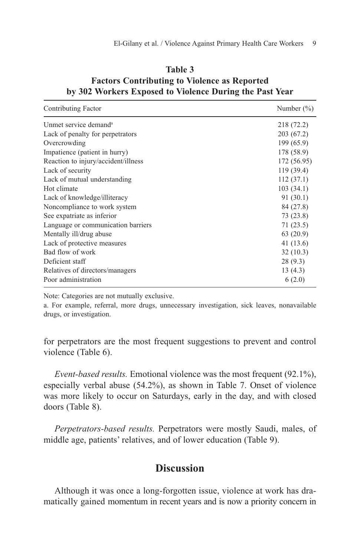| Contributing Factor                 | Number $(\%)$ |
|-------------------------------------|---------------|
| Unmet service demand <sup>a</sup>   | 218 (72.2)    |
| Lack of penalty for perpetrators    | 203 (67.2)    |
| Overcrowding                        | 199 (65.9)    |
| Impatience (patient in hurry)       | 178 (58.9)    |
| Reaction to injury/accident/illness | 172 (56.95)   |
| Lack of security                    | 119(39.4)     |
| Lack of mutual understanding        | 112(37.1)     |
| Hot climate                         | 103(34.1)     |
| Lack of knowledge/illiteracy        | 91 (30.1)     |
| Noncompliance to work system        | 84 (27.8)     |
| See expatriate as inferior          | 73 (23.8)     |
| Language or communication barriers  | 71(23.5)      |
| Mentally ill/drug abuse             | 63 (20.9)     |
| Lack of protective measures         | 41 (13.6)     |
| Bad flow of work                    | 32(10.3)      |
| Deficient staff                     | 28 (9.3)      |
| Relatives of directors/managers     | 13(4.3)       |
| Poor administration                 | 6(2.0)        |

## **Table 3 Factors Contributing to Violence as Reported by 302 Workers Exposed to Violence During the Past Year**

Note: Categories are not mutually exclusive.

a. For example, referral, more drugs, unnecessary investigation, sick leaves, nonavailable drugs, or investigation.

for perpetrators are the most frequent suggestions to prevent and control violence (Table 6).

*Event-based results.* Emotional violence was the most frequent (92.1%), especially verbal abuse (54.2%), as shown in Table 7. Onset of violence was more likely to occur on Saturdays, early in the day, and with closed doors (Table 8).

*Perpetrators-based results.* Perpetrators were mostly Saudi, males, of middle age, patients' relatives, and of lower education (Table 9).

# **Discussion**

Although it was once a long-forgotten issue, violence at work has dramatically gained momentum in recent years and is now a priority concern in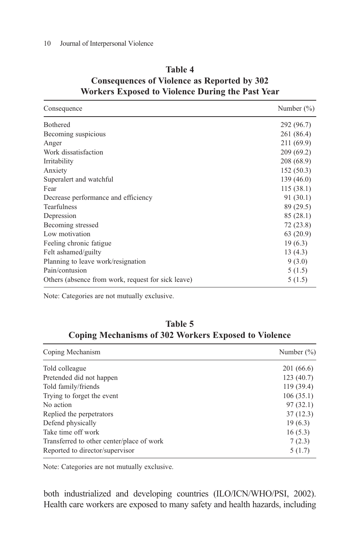| Consequence                                        | Number $(\% )$ |
|----------------------------------------------------|----------------|
| <b>Bothered</b>                                    | 292 (96.7)     |
| Becoming suspicious                                | 261 (86.4)     |
| Anger                                              | 211 (69.9)     |
| Work dissatisfaction                               | 209(69.2)      |
| Irritability                                       | 208 (68.9)     |
| Anxiety                                            | 152(50.3)      |
| Superalert and watchful                            | 139(46.0)      |
| Fear                                               | 115(38.1)      |
| Decrease performance and efficiency                | 91(30.1)       |
| <b>Tearfulness</b>                                 | 89 (29.5)      |
| Depression                                         | 85(28.1)       |
| Becoming stressed                                  | 72 (23.8)      |
| Low motivation                                     | 63 (20.9)      |
| Feeling chronic fatigue                            | 19(6.3)        |
| Felt ashamed/guilty                                | 13 (4.3)       |
| Planning to leave work/resignation                 | 9(3.0)         |
| Pain/contusion                                     | 5(1.5)         |
| Others (absence from work, request for sick leave) | 5(1.5)         |

## **Table 4 Consequences of Violence as Reported by 302 Workers Exposed to Violence During the Past Year**

Note: Categories are not mutually exclusive.

| Table 5                                                     |  |
|-------------------------------------------------------------|--|
| <b>Coping Mechanisms of 302 Workers Exposed to Violence</b> |  |

| Coping Mechanism                          | Number $(\%)$ |
|-------------------------------------------|---------------|
| Told colleague                            | 201 (66.6)    |
| Pretended did not happen                  | 123(40.7)     |
| Told family/friends                       | 119(39.4)     |
| Trying to forget the event                | 106(35.1)     |
| No action                                 | 97(32.1)      |
| Replied the perpetrators                  | 37(12.3)      |
| Defend physically                         | 19(6.3)       |
| Take time off work                        | 16(5.3)       |
| Transferred to other center/place of work | 7(2.3)        |
| Reported to director/supervisor           | 5(1.7)        |

Note: Categories are not mutually exclusive.

both industrialized and developing countries (ILO/ICN/WHO/PSI, 2002). Health care workers are exposed to many safety and health hazards, including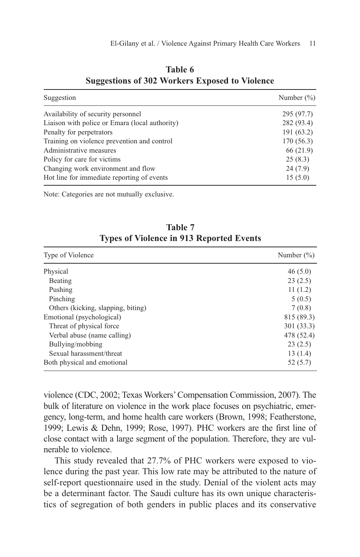| Suggestion                                     | Number $(\%)$ |
|------------------------------------------------|---------------|
| Availability of security personnel             | 295 (97.7)    |
| Liaison with police or Emara (local authority) | 282 (93.4)    |
| Penalty for perpetrators                       | 191(63.2)     |
| Training on violence prevention and control    | 170(56.3)     |
| Administrative measures                        | 66 (21.9)     |
| Policy for care for victims                    | 25(8.3)       |
| Changing work environment and flow             | 24(7.9)       |
| Hot line for immediate reporting of events     | 15(5.0)       |

**Table 6 Suggestions of 302 Workers Exposed to Violence**

Note: Categories are not mutually exclusive.

| Type of Violence                   | Number $(\% )$ |
|------------------------------------|----------------|
| Physical                           | 46(5.0)        |
| Beating                            | 23(2.5)        |
| Pushing                            | 11(1.2)        |
| Pinching                           | 5(0.5)         |
| Others (kicking, slapping, biting) | 7(0.8)         |
| Emotional (psychological)          | 815 (89.3)     |
| Threat of physical force           | 301(33.3)      |
| Verbal abuse (name calling)        | 478 (52.4)     |
| Bullying/mobbing                   | 23(2.5)        |
| Sexual harassment/threat           | 13(1.4)        |
| Both physical and emotional        | 52(5.7)        |

**Table 7 Types of Violence in 913 Reported Events**

violence (CDC, 2002; Texas Workers' Compensation Commission, 2007). The bulk of literature on violence in the work place focuses on psychiatric, emergency, long-term, and home health care workers (Brown, 1998; Featherstone, 1999; Lewis & Dehn, 1999; Rose, 1997). PHC workers are the first line of close contact with a large segment of the population. Therefore, they are vulnerable to violence.

This study revealed that 27.7% of PHC workers were exposed to violence during the past year. This low rate may be attributed to the nature of self-report questionnaire used in the study. Denial of the violent acts may be a determinant factor. The Saudi culture has its own unique characteristics of segregation of both genders in public places and its conservative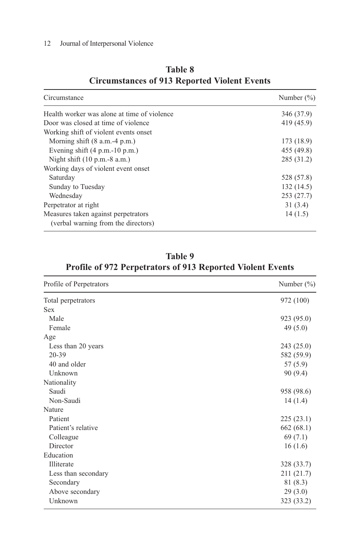| Circumstance                                | Number $(\% )$ |
|---------------------------------------------|----------------|
| Health worker was alone at time of violence | 346 (37.9)     |
| Door was closed at time of violence         | 419 (45.9)     |
| Working shift of violent events onset       |                |
| Morning shift $(8 a.m.-4 p.m.)$             | 173 (18.9)     |
| Evening shift $(4 p.m.-10 p.m.)$            | 455 (49.8)     |
| Night shift $(10 p.m.-8 a.m.)$              | 285 (31.2)     |
| Working days of violent event onset         |                |
| Saturday                                    | 528 (57.8)     |
| Sunday to Tuesday                           | 132 (14.5)     |
| Wednesday                                   | 253 (27.7)     |
| Perpetrator at right                        | 31(3.4)        |
| Measures taken against perpetrators         | 14(1.5)        |
| (verbal warning from the directors)         |                |

**Table 8 Circumstances of 913 Reported Violent Events**

**Table 9 Profile of 972 Perpetrators of 913 Reported Violent Events**

| Profile of Perpetrators | Number $(\% )$ |
|-------------------------|----------------|
| Total perpetrators      | 972 (100)      |
| <b>Sex</b>              |                |
| Male                    | 923 (95.0)     |
| Female                  | 49 $(5.0)$     |
| Age                     |                |
| Less than 20 years      | 243 (25.0)     |
| 20-39                   | 582 (59.9)     |
| 40 and older            | 57(5.9)        |
| Unknown                 | 90(9.4)        |
| Nationality             |                |
| Saudi                   | 958 (98.6)     |
| Non-Saudi               | 14(1.4)        |
| Nature                  |                |
| Patient                 | 225(23.1)      |
| Patient's relative      | 662(68.1)      |
| Colleague               | 69(7.1)        |
| Director                | 16(1.6)        |
| Education               |                |
| <b>Illiterate</b>       | 328 (33.7)     |
| Less than secondary     | 211 (21.7)     |
| Secondary               | 81 (8.3)       |
| Above secondary         | 29(3.0)        |
| Unknown                 | 323 (33.2)     |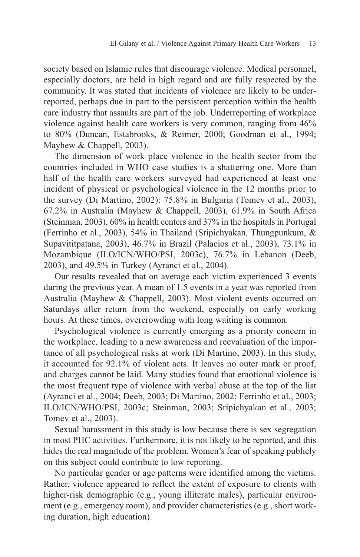society based on Islamic rules that discourage violence. Medical personnel, especially doctors, are held in high regard and are fully respected by the community. It was stated that incidents of violence are likely to be underreported, perhaps due in part to the persistent perception within the health care industry that assaults are part of the job. Underreporting of workplace violence against health care workers is very common, ranging from 46% to 80% (Duncan, Estabrooks, & Reimer, 2000; Goodman et al., 1994; Mayhew & Chappell, 2003).

The dimension of work place violence in the health sector from the countries included in WHO case studies is a shattering one. More than half of the health care workers surveyed had experienced at least one incident of physical or psychological violence in the 12 months prior to the survey (Di Martino, 2002): 75.8% in Bulgaria (Tomev et al., 2003), 67.2% in Australia (Mayhew & Chappell, 2003), 61.9% in South Africa (Steinman, 2003), 60% in health centers and 37% in the hospitals in Portugal (Ferrinho et al., 2003), 54% in Thailand (Sripichyakan, Thungpunkum, & Supavititpatana, 2003), 46.7% in Brazil (Palacios et al., 2003), 73.1% in Mozambique (ILO/ICN/WHO/PSI, 2003c), 76.7% in Lebanon (Deeb, 2003), and 49.5% in Turkey (Ayranci et al., 2004).

Our results revealed that on average each victim experienced 3 events during the previous year. A mean of 1.5 events in a year was reported from Australia (Mayhew & Chappell, 2003). Most violent events occurred on Saturdays after return from the weekend, especially on early working hours. At these times, overcrowding with long waiting is common.

Psychological violence is currently emerging as a priority concern in the workplace, leading to a new awareness and reevaluation of the importance of all psychological risks at work (Di Martino, 2003). In this study, it accounted for 92.1% of violent acts. It leaves no outer mark or proof, and charges cannot be laid. Many studies found that emotional violence is the most frequent type of violence with verbal abuse at the top of the list (Ayranci et al., 2004; Deeb, 2003; Di Martino, 2002; Ferrinho et al., 2003; ILO/ICN/WHO/PSI, 2003c; Steinman, 2003; Sripichyakan et al., 2003; Tomev et al., 2003).

Sexual harassment in this study is low because there is sex segregation in most PHC activities. Furthermore, it is not likely to be reported, and this hides the real magnitude of the problem. Women's fear of speaking publicly on this subject could contribute to low reporting.

No particular gender or age patterns were identified among the victims. Rather, violence appeared to reflect the extent of exposure to clients with higher-risk demographic (e.g., young illiterate males), particular environment (e.g., emergency room), and provider characteristics (e.g., short working duration, high education).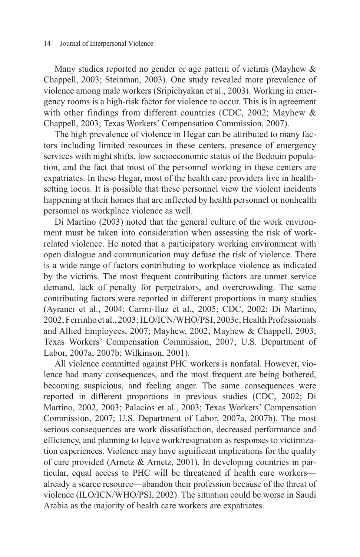Many studies reported no gender or age pattern of victims (Mayhew & Chappell, 2003; Steinman, 2003). One study revealed more prevalence of violence among male workers (Sripichyakan et al., 2003). Working in emergency rooms is a high-risk factor for violence to occur. This is in agreement with other findings from different countries (CDC, 2002; Mayhew & Chappell, 2003; Texas Workers' Compensation Commission, 2007).

The high prevalence of violence in Hegar can be attributed to many factors including limited resources in these centers, presence of emergency services with night shifts, low socioeconomic status of the Bedouin population, and the fact that most of the personnel working in these centers are expatriates. In these Hegar, most of the health care providers live in healthsetting locus. It is possible that these personnel view the violent incidents happening at their homes that are inflected by health personnel or nonhealth personnel as workplace violence as well.

Di Martino (2003) noted that the general culture of the work environment must be taken into consideration when assessing the risk of workrelated violence. He noted that a participatory working environment with open dialogue and communication may defuse the risk of violence. There is a wide range of factors contributing to workplace violence as indicated by the victims. The most frequent contributing factors are unmet service demand, lack of penalty for perpetrators, and overcrowding. The same contributing factors were reported in different proportions in many studies (Ayranci et al., 2004; Carmi-Iluz et al., 2005; CDC, 2002; Di Martino, 2002; Ferrinho et al., 2003; ILO/ICN/WHO/PSI, 2003c; Health Professionals and Allied Employees, 2007; Mayhew, 2002; Mayhew & Chappell, 2003; Texas Workers' Compensation Commission, 2007; U.S. Department of Labor, 2007a, 2007b; Wilkinson, 2001).

All violence committed against PHC workers is nonfatal. However, violence had many consequences, and the most frequent are being bothered, becoming suspicious, and feeling anger. The same consequences were reported in different proportions in previous studies (CDC, 2002; Di Martino, 2002, 2003; Palacios et al., 2003; Texas Workers' Compensation Commission, 2007; U.S. Department of Labor, 2007a, 2007b). The most serious consequences are work dissatisfaction, decreased performance and efficiency, and planning to leave work/resignation as responses to victimization experiences. Violence may have significant implications for the quality of care provided (Arnetz & Arnetz, 2001). In developing countries in particular, equal access to PHC will be threatened if health care workers already a scarce resource—abandon their profession because of the threat of violence (ILO/ICN/WHO/PSI, 2002). The situation could be worse in Saudi Arabia as the majority of health care workers are expatriates.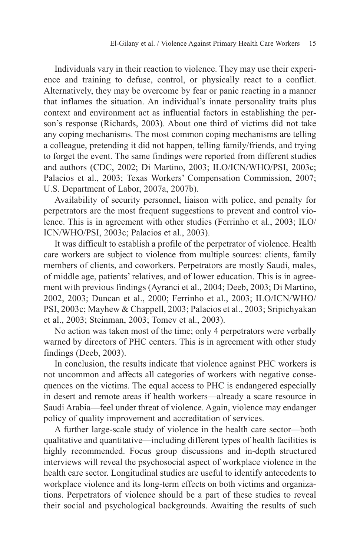Individuals vary in their reaction to violence. They may use their experience and training to defuse, control, or physically react to a conflict. Alternatively, they may be overcome by fear or panic reacting in a manner that inflames the situation. An individual's innate personality traits plus context and environment act as influential factors in establishing the person's response (Richards, 2003). About one third of victims did not take any coping mechanisms. The most common coping mechanisms are telling a colleague, pretending it did not happen, telling family/friends, and trying to forget the event. The same findings were reported from different studies and authors (CDC, 2002; Di Martino, 2003; ILO/ICN/WHO/PSI, 2003c; Palacios et al., 2003; Texas Workers' Compensation Commission, 2007; U.S. Department of Labor, 2007a, 2007b).

Availability of security personnel, liaison with police, and penalty for perpetrators are the most frequent suggestions to prevent and control violence. This is in agreement with other studies (Ferrinho et al., 2003; ILO/ ICN/WHO/PSI, 2003c; Palacios et al., 2003).

It was difficult to establish a profile of the perpetrator of violence. Health care workers are subject to violence from multiple sources: clients, family members of clients, and coworkers. Perpetrators are mostly Saudi, males, of middle age, patients' relatives, and of lower education. This is in agreement with previous findings (Ayranci et al., 2004; Deeb, 2003; Di Martino, 2002, 2003; Duncan et al., 2000; Ferrinho et al., 2003; ILO/ICN/WHO/ PSI, 2003c; Mayhew & Chappell, 2003; Palacios et al., 2003; Sripichyakan et al., 2003; Steinman, 2003; Tomev et al., 2003).

No action was taken most of the time; only 4 perpetrators were verbally warned by directors of PHC centers. This is in agreement with other study findings (Deeb, 2003).

In conclusion, the results indicate that violence against PHC workers is not uncommon and affects all categories of workers with negative consequences on the victims. The equal access to PHC is endangered especially in desert and remote areas if health workers—already a scare resource in Saudi Arabia—feel under threat of violence. Again, violence may endanger policy of quality improvement and accreditation of services.

A further large-scale study of violence in the health care sector—both qualitative and quantitative—including different types of health facilities is highly recommended. Focus group discussions and in-depth structured interviews will reveal the psychosocial aspect of workplace violence in the health care sector. Longitudinal studies are useful to identify antecedents to workplace violence and its long-term effects on both victims and organizations. Perpetrators of violence should be a part of these studies to reveal their social and psychological backgrounds. Awaiting the results of such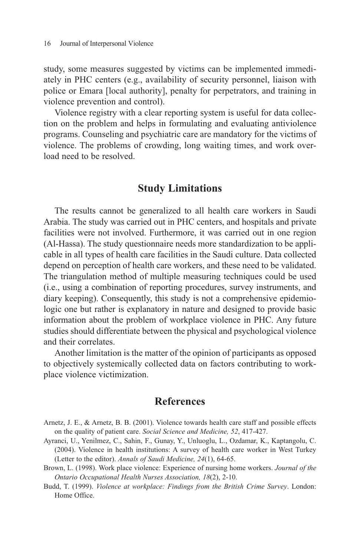study, some measures suggested by victims can be implemented immediately in PHC centers (e.g., availability of security personnel, liaison with police or Emara [local authority], penalty for perpetrators, and training in violence prevention and control).

Violence registry with a clear reporting system is useful for data collection on the problem and helps in formulating and evaluating antiviolence programs. Counseling and psychiatric care are mandatory for the victims of violence. The problems of crowding, long waiting times, and work overload need to be resolved.

# **Study Limitations**

The results cannot be generalized to all health care workers in Saudi Arabia. The study was carried out in PHC centers, and hospitals and private facilities were not involved. Furthermore, it was carried out in one region (Al-Hassa). The study questionnaire needs more standardization to be applicable in all types of health care facilities in the Saudi culture. Data collected depend on perception of health care workers, and these need to be validated. The triangulation method of multiple measuring techniques could be used (i.e., using a combination of reporting procedures, survey instruments, and diary keeping). Consequently, this study is not a comprehensive epidemiologic one but rather is explanatory in nature and designed to provide basic information about the problem of workplace violence in PHC. Any future studies should differentiate between the physical and psychological violence and their correlates.

Another limitation is the matter of the opinion of participants as opposed to objectively systemically collected data on factors contributing to workplace violence victimization.

### **References**

- Arnetz, J. E., & Arnetz, B. B. (2001). Violence towards health care staff and possible effects on the quality of patient care. *Social Science and Medicine, 52*, 417-427.
- Ayranci, U., Yenilmez, C., Sahin, F., Gunay, Y., Unluoglu, L., Ozdamar, K., Kaptangolu, C. (2004). Violence in health institutions: A survey of health care worker in West Turkey (Letter to the editor). *Annals of Saudi Medicine, 24*(1), 64-65.
- Brown, L. (1998). Work place violence: Experience of nursing home workers. *Journal of the Ontario Occupational Health Nurses Association, 18*(2), 2-10.
- Budd, T. (1999). *Violence at workplace: Findings from the British Crime Survey*. London: Home Office.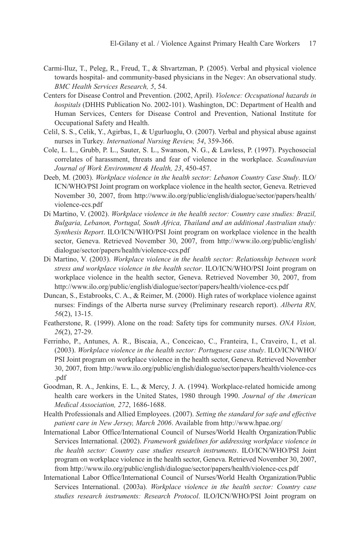- Carmi-Iluz, T., Peleg, R., Freud, T., & Shvartzman, P. (2005). Verbal and physical violence towards hospital- and community-based physicians in the Negev: An observational study. *BMC Health Services Research, 5*, 54.
- Centers for Disease Control and Prevention. (2002, April). *Violence: Occupational hazards in hospitals* (DHHS Publication No. 2002-101). Washington, DC: Department of Health and Human Services, Centers for Disease Control and Prevention, National Institute for Occupational Safety and Health.
- Celil, S. S., Celik, Y., Agirbas, I., & Ugurluoglu, O. (2007). Verbal and physical abuse against nurses in Turkey. *International Nursing Review, 54*, 359-366.
- Cole, L. L., Grubb, P. L., Sauter, S. L., Swanson, N. G., & Lawless, P. (1997). Psychosocial correlates of harassment, threats and fear of violence in the workplace. *Scandinavian Journal of Work Environment & Health, 23*, 450-457.
- Deeb, M. (2003). *Workplace violence in the health sector: Lebanon Country Case Study*. ILO/ ICN/WHO/PSI Joint program on workplace violence in the health sector, Geneva. Retrieved November 30, 2007, from http://www.ilo.org/public/english/dialogue/sector/papers/health/ violence-ccs.pdf
- Di Martino, V. (2002). *Workplace violence in the health sector: Country case studies: Brazil, Bulgaria, Lebanon, Portugal, South Africa, Thailand and an additional Australian study: Synthesis Report*. ILO/ICN/WHO/PSI Joint program on workplace violence in the health sector, Geneva. Retrieved November 30, 2007, from http://www.ilo.org/public/english/ dialogue/sector/papers/health/violence-ccs.pdf
- Di Martino, V. (2003). *Workplace violence in the health sector: Relationship between work stress and workplace violence in the health sector*. ILO/ICN/WHO/PSI Joint program on workplace violence in the health sector, Geneva. Retrieved November 30, 2007, from http://www.ilo.org/public/english/dialogue/sector/papers/health/violence-ccs.pdf
- Duncan, S., Estabrooks, C. A., & Reimer, M. (2000). High rates of workplace violence against nurses: Findings of the Alberta nurse survey (Preliminary research report). *Alberta RN, 56*(2), 13-15.
- Featherstone, R. (1999). Alone on the road: Safety tips for community nurses. *ONA Vision, 26*(2), 27-29.
- Ferrinho, P., Antunes, A. R., Biscaia, A., Conceicao, C., Franteira, I., Craveiro, I., et al. (2003). *Workplace violence in the health sector: Portuguese case study*. ILO/ICN/WHO/ PSI Joint program on workplace violence in the health sector, Geneva. Retrieved November 30, 2007, from http://www.ilo.org/public/english/dialogue/sector/papers/health/violence-ccs .pdf
- Goodman, R. A., Jenkins, E. L., & Mercy, J. A. (1994). Workplace-related homicide among health care workers in the United States, 1980 through 1990. *Journal of the American Medical Association, 272*, 1686-1688.
- Health Professionals and Allied Employees. (2007). *Setting the standard for safe and effective patient care in New Jersey, March 2006*. Available from http://www.hpae.org/
- International Labor Office/International Council of Nurses/World Health Organization/Public Services International. (2002). *Framework guidelines for addressing workplace violence in the health sector: Country case studies research instruments*. ILO/ICN/WHO/PSI Joint program on workplace violence in the health sector, Geneva. Retrieved November 30, 2007, from http://www.ilo.org/public/english/dialogue/sector/papers/health/violence-ccs.pdf
- International Labor Office/International Council of Nurses/World Health Organization/Public Services International. (2003a). *Workplace violence in the health sector: Country case studies research instruments: Research Protocol*. ILO/ICN/WHO/PSI Joint program on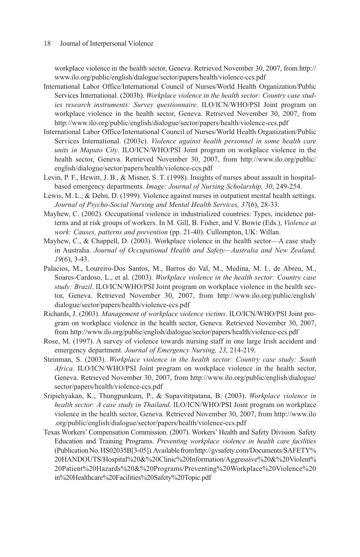18 Journal of Interpersonal Violence

workplace violence in the health sector, Geneva. Retrieved November 30, 2007, from http:// www.ilo.org/public/english/dialogue/sector/papers/health/violence-ccs.pdf

- International Labor Office/International Council of Nurses/World Health Organization/Public Services International. (2003b). *Workplace violence in the health sector: Country case studies research instruments: Survey questionnaire*. ILO/ICN/WHO/PSI Joint program on workplace violence in the health sector, Geneva. Retrieved November 30, 2007, from http://www.ilo.org/public/english/dialogue/sector/papers/health/violence-ccs.pdf
- International Labor Office/International Council of Nurses/World Health Organization/Public Services International. (2003c). *Violence against health personnel in some health care units in Maputo City*. ILO/ICN/WHO/PSI Joint program on workplace violence in the health sector, Geneva. Retrieved November 30, 2007, from http://www.ilo.org/public/ english/dialogue/sector/papers/health/violence-ccs.pdf
- Levin, P. F., Hewitt, J. B., & Misner, S. T. (1998). Insights of nurses about assault in hospitalbased emergency departments. *Image: Journal of Nursing Scholarship, 30*, 249-254.
- Lewis, M. L., & Dehn, D. (1999). Violence against nurses in outpatient mental health settings. *Journal of Psycho-Social Nursing and Mental Health Services, 37*(6), 28-33.
- Mayhew, C. (2002). Occupational violence in industrialized countries: Types, incidence patterns and at risk groups of workers. In M. Gill, B. Fisher, and V. Bowie (Eds.), *Violence at work: Causes, patterns and prevention* (pp. 21-40). Cullompton, UK: Willan.
- Mayhew, C., & Chappell, D. (2003). Workplace violence in the health sector—A case study in Australia. *Journal of Occupational Health and Safety—Australia and New Zealand, 19*(6), 3-43.
- Palacios, M., Loureiro-Dos Santos, M., Barros do Val, M., Medina, M. I., de Abreu, M., Soares-Cardoso, L., et al. (2003). *Workplace violence in the health sector: Country case study: Brazil*. ILO/ICN/WHO/PSI Joint program on workplace violence in the health sector, Geneva. Retrieved November 30, 2007, from http://www.ilo.org/public/english/ dialogue/sector/papers/health/violence-ccs.pdf
- Richards, J. (2003). *Management of workplace violence victims*. ILO/ICN/WHO/PSI Joint program on workplace violence in the health sector, Geneva. Retrieved November 30, 2007, from http://www.ilo.org/public/english/dialogue/sector/papers/health/violence-ccs.pdf
- Rose, M. (1997). A survey of violence towards nursing staff in one large Irish accident and emergency department. *Journal of Emergency Nursing, 23*, 214-219.
- Steinman, S. (2003). *Workplace violence in the health sector: Country case study: South Africa*. ILO/ICN/WHO/PSI Joint program on workplace violence in the health sector, Geneva. Retrieved November 30, 2007, from http://www.ilo.org/public/english/dialogue/ sector/papers/health/violence-ccs.pdf
- Sripichyakan, K., Thungpunkum, P., & Supavititpatana, B. (2003). *Workplace violence in health sector: A case study in Thailand*. ILO/ICN/WHO/PSI Joint program on workplace violence in the health sector, Geneva. Retrieved November 30, 2007, from http://www.ilo .org/public/english/dialogue/sector/papers/health/violence-ccs.pdf
- Texas Workers' Compensation Commission. (2007). Workers' Health and Safety Division. Safety Education and Training Programs. *Preventing workplace violence in health care facilities* (Publication No. HS02035B[3-05]). Available from http://gvsafety.com/Documents/SAFETY% 20HANDOUTS/Hospital%20&%20Clinic%20Information/Aggressive%20&%20Violent% 20Patient%20Hazards%20&%20Programs/Preventing%20Workplace%20Violence%20 in%20Healthcare%20Facilities%20Safety%20Topic.pdf